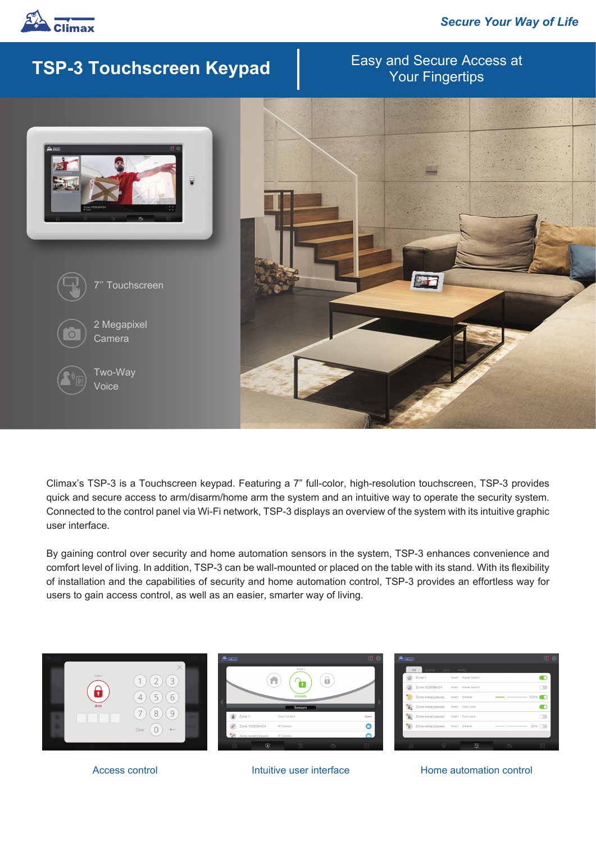

## **TSP-3 Touchscreen Keypad**

# Easy and Secure Access at



Climax's TSP-3 is a Touchscreen keypad. Featuring a 7" full-color, high-resolution touchscreen, TSP-3 provides quick and secure access to arm/disarm/home arm the system and an intuitive way to operate the security system. Connected to the control panel via Wi-Fi network, TSP-3 displays an overview of the system with its intuitive graphic user interface.

By gaining control over security and home automation sensors in the system, TSP-3 enhances convenience and comfort level of living. In addition, TSP-3 can be wall-mounted or placed on the table with its stand. With its flexibility of installation and the capabilities of security and home automation control, TSP-3 provides an effortless way for users to gain access control, as well as an easier, smarter way of living.



Access control **Intuitive user interface** Home automation control